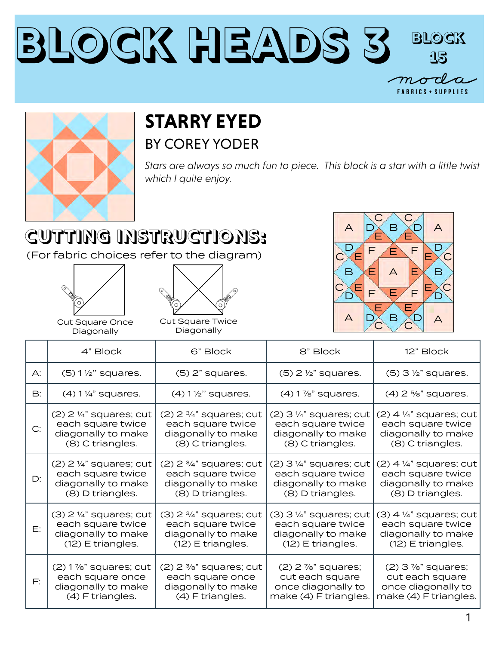



## **STARRY EYED** BY COREY YODER

*Stars are always so much fun to piece. This block is a star with a little twist which I quite enjoy.*

## **CUTTING INSTRUCTIONS:**

(For fabric choices refer to the diagram)





Cut Square Once Diagonally

Cut Square Twice Diagonally



|               | 4" Block                             | 6" Block                             | 8" Block                             | 12" Block                            |
|---------------|--------------------------------------|--------------------------------------|--------------------------------------|--------------------------------------|
| $\bigwedge$ : | $(5)$ 1 $\frac{1}{2}$ " squares.     | $(5)$ 2" squares.                    | $(5)$ 2 $\frac{1}{2}$ " squares.     | $(5)$ 3 $\frac{1}{2}$ " squares.     |
| B:            | $(4)$ 1 $\frac{1}{4}$ " squares.     | $(4)$ 1 $\frac{1}{2}$ " squares.     | $(4)$ 1 $\%$ " squares.              | $(4)$ 2 %" squares.                  |
| C:            | $(2)$ 2 $\frac{1}{4}$ " squares; cut | $(2)$ 2 $\frac{3}{4}$ " squares; cut | $(2)$ 3 $\frac{1}{4}$ " squares; cut | $(2)$ 4 $\frac{1}{4}$ " squares; cut |
|               | each square twice                    | each square twice                    | each square twice                    | each square twice                    |
|               | diagonally to make                   | diagonally to make                   | diagonally to make                   | diagonally to make                   |
|               | (8) C triangles.                     | (8) C triangles.                     | (8) C triangles.                     | (8) C triangles.                     |
| D:            | $(2)$ 2 $\frac{1}{4}$ " squares; cut | $(2)$ 2 $\frac{3}{4}$ " squares; cut | $(2)$ 3 $\frac{1}{4}$ " squares; cut | $(2)$ 4 $\frac{1}{4}$ " squares; cut |
|               | each square twice                    | each square twice                    | each square twice                    | each square twice                    |
|               | diagonally to make                   | diagonally to make                   | diagonally to make                   | diagonally to make                   |
|               | (8) D triangles.                     | (8) D triangles.                     | (8) D triangles.                     | (8) D triangles.                     |
| E:            | $(3)$ 2 1/4" squares; cut            | $(3)$ 2 $\frac{3}{4}$ " squares; cut | $(3)$ 3 $\frac{1}{4}$ " squares; cut | $(3)$ 4 $\frac{1}{4}$ " squares; cut |
|               | each square twice                    | each square twice                    | each square twice                    | each square twice                    |
|               | diagonally to make                   | diagonally to make                   | diagonally to make                   | diagonally to make                   |
|               | $(12)$ E triangles.                  | (12) E triangles.                    | (12) E triangles.                    | $(12)$ E triangles.                  |
| F:            | $(2)$ 1 $\%$ " squares; cut          | $(2)$ 2 $\frac{3}{8}$ " squares; cut | $(2)$ 2 $\frac{7}{8}$ " squares;     | $(2)$ 3 $\frac{7}{8}$ " squares;     |
|               | each square once                     | each square once                     | cut each square                      | cut each square                      |
|               | diagonally to make                   | diagonally to make                   | once diagonally to                   | once diagonally to                   |
|               | (4) F triangles.                     | (4) F triangles.                     | make (4) F triangles.                | make (4) F triangles.                |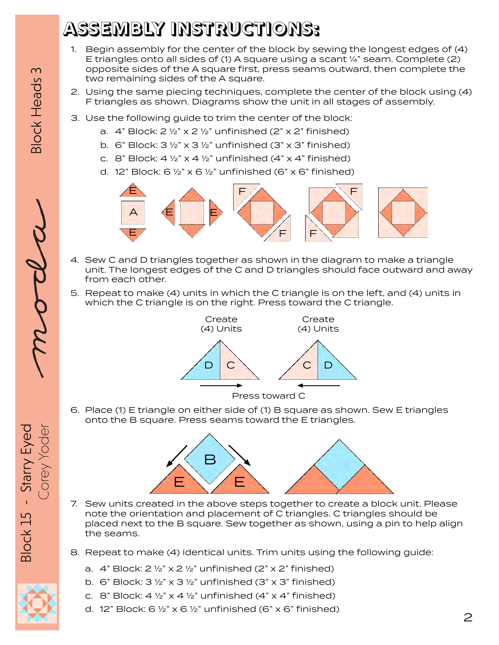## **ASSEMBLY INSTRUCTIONS:**

- 1. Begin assembly for the center of the block by sewing the longest edges of (4) E triangles onto all sides of (1) A square using a scant  $\frac{1}{4}$ " seam. Complete (2) opposite sides of the A square first, press seams outward, then complete the two remaining sides of the A square.
- 2. Using the same piecing techniques, complete the center of the block using (4) F triangles as shown. Diagrams show the unit in all stages of assembly.
- 3. Use the following guide to trim the center of the block:
	- a.  $4$ " Block:  $2 \frac{1}{2}$ " x  $2 \frac{1}{2}$ " unfinished ( $2$ " x  $2$ " finished)
	- b. 6" Block:  $3\frac{1}{2}$ " x  $3\frac{1}{2}$ " unfinished (3" x 3" finished)
	- c. 8" Block:  $4\frac{1}{2}$ " x  $4\frac{1}{2}$ " unfinished ( $4$ " x  $4$ " finished)
	- d. 12" Block:  $6\frac{1}{2}$ " x  $6\frac{1}{2}$ " unfinished (6" x  $6$ " finished)



- 4. Sew C and D triangles together as shown in the diagram to make a triangle unit. The longest edges of the C and D triangles should face outward and away from each other.
- 5. Repeat to make (4) units in which the C triangle is on the left, and (4) units in which the C triangle is on the right. Press toward the C triangle.



6. Place (1) E triangle on either side of (1) B square as shown. Sew E triangles onto the B square. Press seams toward the E triangles.



- 7. Sew units created in the above steps together to create a block unit. Please note the orientation and placement of C triangles. C triangles should be placed next to the B square. Sew together as shown, using a pin to help align the seams.
- 8. Repeat to make (4) identical units. Trim units using the following guide:
	- a.  $4$ " Block:  $2 \frac{1}{2}$ " x  $2 \frac{1}{2}$ " unfinished ( $2$ " x  $2$ " finished)
	- b. 6" Block:  $3\frac{1}{2}$ " x  $3\frac{1}{2}$ " unfinished (3" x 3" finished)
	- c. 8" Block:  $4\frac{1}{2}$ " x  $4\frac{1}{2}$ " unfinished ( $4$ " x  $4$ " finished)
	- d. 12" Block: 6  $\frac{1}{2}$ " x 6  $\frac{1}{2}$ " unfinished (6" x 6" finished)

**Block Heads 3**